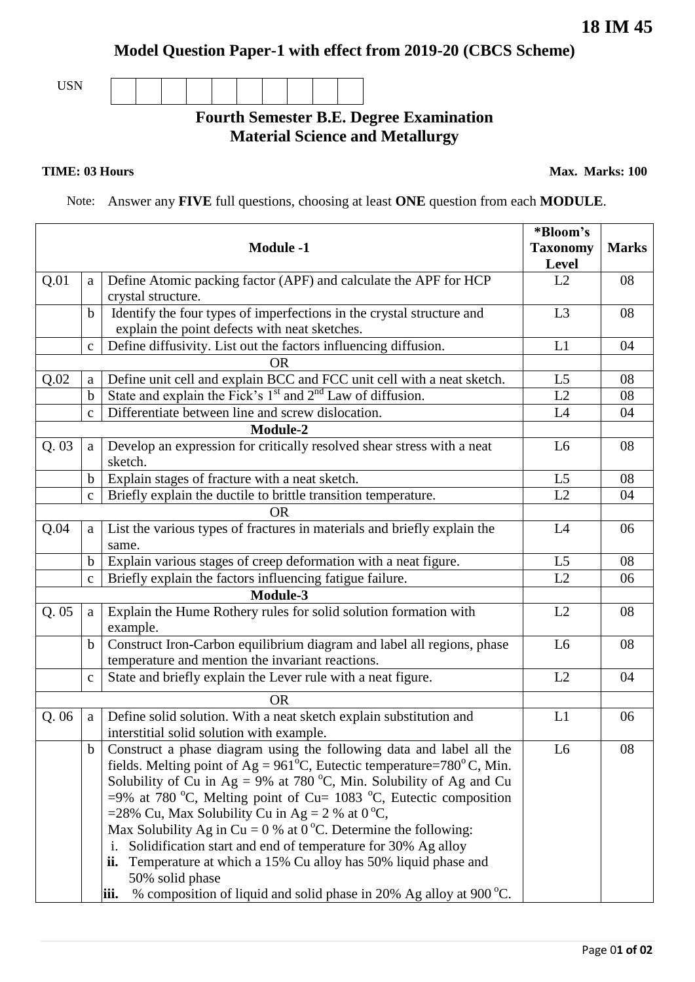## **Model Question Paper-1 with effect from 2019-20 (CBCS Scheme)**

USN

## **Fourth Semester B.E. Degree Examination Material Science and Metallurgy**

**TIME: 03 Hours Max. Marks: 100** 

Note: Answer any **FIVE** full questions, choosing at least **ONE** question from each **MODULE**.

|      |              |                                                                                 | *Bloom's        |              |  |  |
|------|--------------|---------------------------------------------------------------------------------|-----------------|--------------|--|--|
|      |              | <b>Module -1</b>                                                                | <b>Taxonomy</b> | <b>Marks</b> |  |  |
|      |              |                                                                                 | <b>Level</b>    |              |  |  |
| Q.01 | a            | Define Atomic packing factor (APF) and calculate the APF for HCP                | L2              | 08           |  |  |
|      |              | crystal structure.                                                              |                 |              |  |  |
|      | $\mathbf b$  | Identify the four types of imperfections in the crystal structure and           | L <sub>3</sub>  | 08           |  |  |
|      |              | explain the point defects with neat sketches.                                   |                 |              |  |  |
|      | $\mathbf C$  | Define diffusivity. List out the factors influencing diffusion.                 | L1              | 04           |  |  |
|      |              | <b>OR</b>                                                                       |                 |              |  |  |
| Q.02 | a            | Define unit cell and explain BCC and FCC unit cell with a neat sketch.          | L <sub>5</sub>  | 08           |  |  |
|      | $\mathbf b$  | State and explain the Fick's $1st$ and $2nd$ Law of diffusion.                  | L2              | 08           |  |  |
|      | $\mathbf{c}$ | Differentiate between line and screw dislocation.                               | L4              | 04           |  |  |
|      | Module-2     |                                                                                 |                 |              |  |  |
| Q.03 | a            | Develop an expression for critically resolved shear stress with a neat          | L <sub>6</sub>  | 08           |  |  |
|      |              | sketch.                                                                         |                 |              |  |  |
|      | $\mathbf b$  | Explain stages of fracture with a neat sketch.                                  | L5              | 08           |  |  |
|      | $\mathbf{C}$ | Briefly explain the ductile to brittle transition temperature.                  | $\overline{L2}$ | 04           |  |  |
|      |              | OR                                                                              |                 |              |  |  |
| Q.04 | a            | List the various types of fractures in materials and briefly explain the        | L4              | 06           |  |  |
|      |              | same.                                                                           |                 |              |  |  |
|      | b            | Explain various stages of creep deformation with a neat figure.                 | L5              | 08           |  |  |
|      | $\mathbf{C}$ | Briefly explain the factors influencing fatigue failure.                        | L2              | 06           |  |  |
|      |              | <b>Module-3</b>                                                                 |                 |              |  |  |
| Q.05 | a            | Explain the Hume Rothery rules for solid solution formation with                | L2              | 08           |  |  |
|      |              | example.                                                                        |                 |              |  |  |
|      | $\mathbf b$  | Construct Iron-Carbon equilibrium diagram and label all regions, phase          | L <sub>6</sub>  | 08           |  |  |
|      |              | temperature and mention the invariant reactions.                                |                 |              |  |  |
|      | $\mathbf C$  | State and briefly explain the Lever rule with a neat figure.                    | L2              | 04           |  |  |
|      |              | <b>OR</b>                                                                       |                 |              |  |  |
| Q.06 | a            | Define solid solution. With a neat sketch explain substitution and              | L1              | 06           |  |  |
|      |              | interstitial solid solution with example.                                       |                 |              |  |  |
|      |              | Construct a phase diagram using the following data and label all the            | L6              | 08           |  |  |
|      |              | fields. Melting point of $Ag = 961^{\circ}C$ , Eutectic temperature=780°C, Min. |                 |              |  |  |
|      |              | Solubility of Cu in Ag = 9% at 780 °C, Min. Solubility of Ag and Cu             |                 |              |  |  |
|      |              | $=$ 9% at 780 °C, Melting point of Cu= 1083 °C, Eutectic composition            |                 |              |  |  |
|      |              | =28% Cu, Max Solubility Cu in Ag = 2 % at $0^{\circ}C$ ,                        |                 |              |  |  |
|      |              | Max Solubility Ag in Cu = 0 % at 0 °C. Determine the following:                 |                 |              |  |  |
|      |              | Solidification start and end of temperature for 30% Ag alloy<br>i.              |                 |              |  |  |
|      |              | Temperature at which a 15% Cu alloy has 50% liquid phase and<br>ii.             |                 |              |  |  |
|      |              | 50% solid phase                                                                 |                 |              |  |  |
|      |              | % composition of liquid and solid phase in 20% Ag alloy at 900 °C.<br>iii.      |                 |              |  |  |